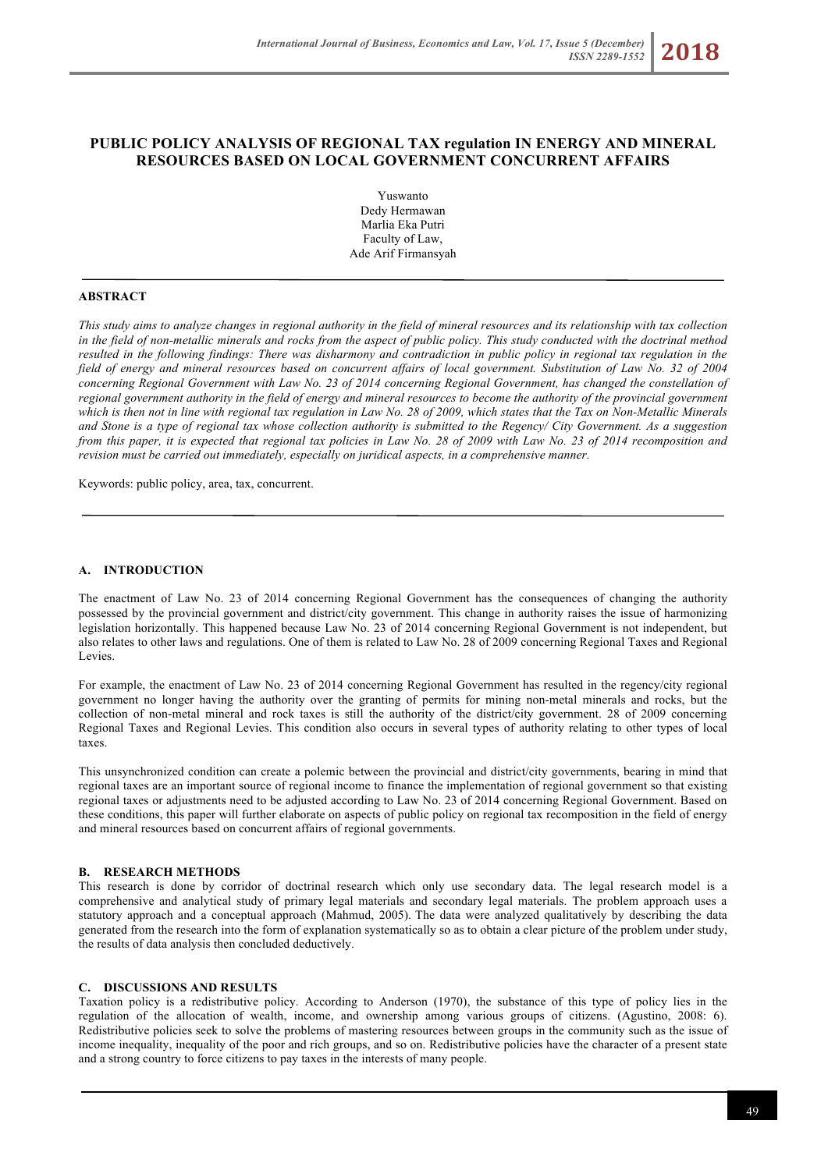Yuswanto Dedy Hermawan Marlia Eka Putri Faculty of Law, Ade Arif Firmansyah

# **ABSTRACT**

*This study aims to analyze changes in regional authority in the field of mineral resources and its relationship with tax collection in the field of non-metallic minerals and rocks from the aspect of public policy. This study conducted with the doctrinal method resulted in the following findings: There was disharmony and contradiction in public policy in regional tax regulation in the field of energy and mineral resources based on concurrent affairs of local government. Substitution of Law No. 32 of 2004 concerning Regional Government with Law No. 23 of 2014 concerning Regional Government, has changed the constellation of regional government authority in the field of energy and mineral resources to become the authority of the provincial government which is then not in line with regional tax regulation in Law No. 28 of 2009, which states that the Tax on Non-Metallic Minerals and Stone is a type of regional tax whose collection authority is submitted to the Regency/ City Government. As a suggestion from this paper, it is expected that regional tax policies in Law No. 28 of 2009 with Law No. 23 of 2014 recomposition and revision must be carried out immediately, especially on juridical aspects, in a comprehensive manner.*

Keywords: public policy, area, tax, concurrent.

# **A. INTRODUCTION**

The enactment of Law No. 23 of 2014 concerning Regional Government has the consequences of changing the authority possessed by the provincial government and district/city government. This change in authority raises the issue of harmonizing legislation horizontally. This happened because Law No. 23 of 2014 concerning Regional Government is not independent, but also relates to other laws and regulations. One of them is related to Law No. 28 of 2009 concerning Regional Taxes and Regional Levies.

For example, the enactment of Law No. 23 of 2014 concerning Regional Government has resulted in the regency/city regional government no longer having the authority over the granting of permits for mining non-metal minerals and rocks, but the collection of non-metal mineral and rock taxes is still the authority of the district/city government. 28 of 2009 concerning Regional Taxes and Regional Levies. This condition also occurs in several types of authority relating to other types of local taxes.

This unsynchronized condition can create a polemic between the provincial and district/city governments, bearing in mind that regional taxes are an important source of regional income to finance the implementation of regional government so that existing regional taxes or adjustments need to be adjusted according to Law No. 23 of 2014 concerning Regional Government. Based on these conditions, this paper will further elaborate on aspects of public policy on regional tax recomposition in the field of energy and mineral resources based on concurrent affairs of regional governments.

### **B. RESEARCH METHODS**

This research is done by corridor of doctrinal research which only use secondary data. The legal research model is a comprehensive and analytical study of primary legal materials and secondary legal materials. The problem approach uses a statutory approach and a conceptual approach (Mahmud, 2005). The data were analyzed qualitatively by describing the data generated from the research into the form of explanation systematically so as to obtain a clear picture of the problem under study, the results of data analysis then concluded deductively.

### **C. DISCUSSIONS AND RESULTS**

Taxation policy is a redistributive policy. According to Anderson (1970), the substance of this type of policy lies in the regulation of the allocation of wealth, income, and ownership among various groups of citizens. (Agustino, 2008: 6). Redistributive policies seek to solve the problems of mastering resources between groups in the community such as the issue of income inequality, inequality of the poor and rich groups, and so on. Redistributive policies have the character of a present state and a strong country to force citizens to pay taxes in the interests of many people.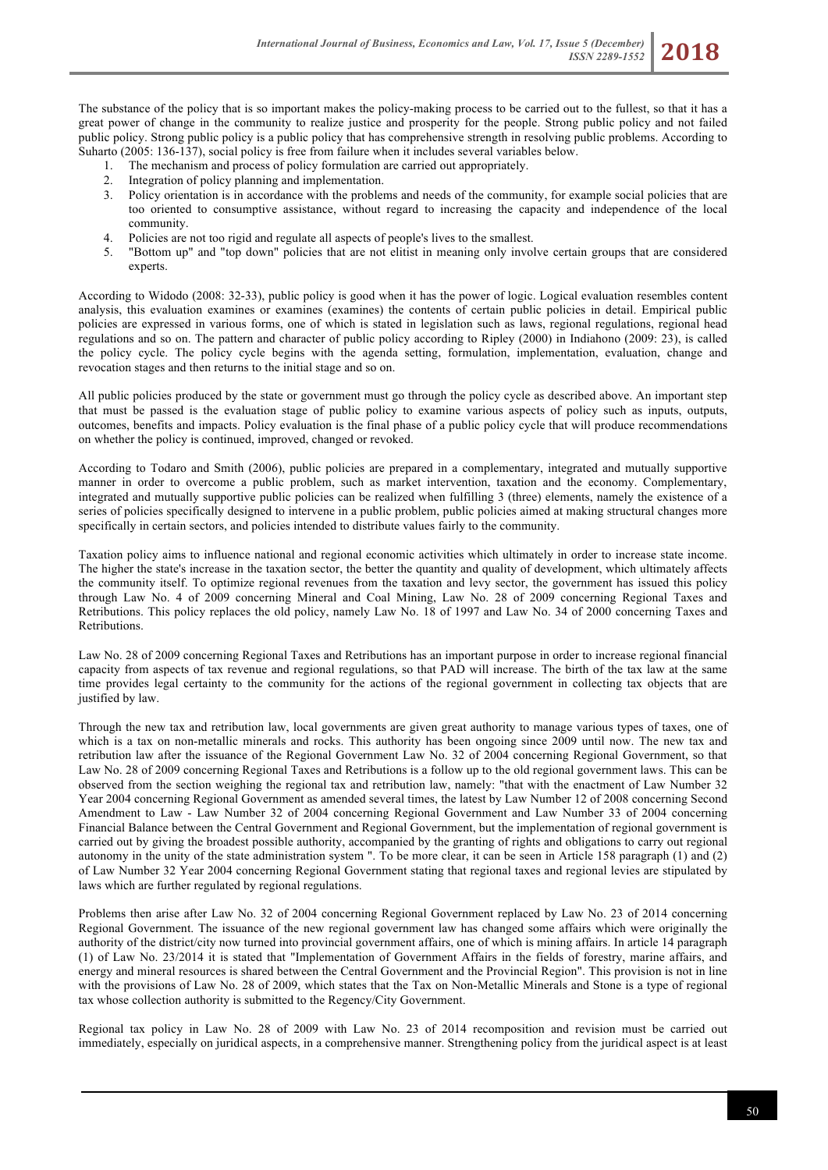The substance of the policy that is so important makes the policy-making process to be carried out to the fullest, so that it has a great power of change in the community to realize justice and prosperity for the people. Strong public policy and not failed public policy. Strong public policy is a public policy that has comprehensive strength in resolving public problems. According to Suharto (2005: 136-137), social policy is free from failure when it includes several variables below.

- 1. The mechanism and process of policy formulation are carried out appropriately.
- 2. Integration of policy planning and implementation.
- 3. Policy orientation is in accordance with the problems and needs of the community, for example social policies that are too oriented to consumptive assistance, without regard to increasing the capacity and independence of the local community.
- 4. Policies are not too rigid and regulate all aspects of people's lives to the smallest.
- 5. "Bottom up" and "top down" policies that are not elitist in meaning only involve certain groups that are considered experts.

According to Widodo (2008: 32-33), public policy is good when it has the power of logic. Logical evaluation resembles content analysis, this evaluation examines or examines (examines) the contents of certain public policies in detail. Empirical public policies are expressed in various forms, one of which is stated in legislation such as laws, regional regulations, regional head regulations and so on. The pattern and character of public policy according to Ripley (2000) in Indiahono (2009: 23), is called the policy cycle. The policy cycle begins with the agenda setting, formulation, implementation, evaluation, change and revocation stages and then returns to the initial stage and so on.

All public policies produced by the state or government must go through the policy cycle as described above. An important step that must be passed is the evaluation stage of public policy to examine various aspects of policy such as inputs, outputs, outcomes, benefits and impacts. Policy evaluation is the final phase of a public policy cycle that will produce recommendations on whether the policy is continued, improved, changed or revoked.

According to Todaro and Smith (2006), public policies are prepared in a complementary, integrated and mutually supportive manner in order to overcome a public problem, such as market intervention, taxation and the economy. Complementary, integrated and mutually supportive public policies can be realized when fulfilling 3 (three) elements, namely the existence of a series of policies specifically designed to intervene in a public problem, public policies aimed at making structural changes more specifically in certain sectors, and policies intended to distribute values fairly to the community.

Taxation policy aims to influence national and regional economic activities which ultimately in order to increase state income. The higher the state's increase in the taxation sector, the better the quantity and quality of development, which ultimately affects the community itself. To optimize regional revenues from the taxation and levy sector, the government has issued this policy through Law No. 4 of 2009 concerning Mineral and Coal Mining, Law No. 28 of 2009 concerning Regional Taxes and Retributions. This policy replaces the old policy, namely Law No. 18 of 1997 and Law No. 34 of 2000 concerning Taxes and Retributions.

Law No. 28 of 2009 concerning Regional Taxes and Retributions has an important purpose in order to increase regional financial capacity from aspects of tax revenue and regional regulations, so that PAD will increase. The birth of the tax law at the same time provides legal certainty to the community for the actions of the regional government in collecting tax objects that are justified by law.

Through the new tax and retribution law, local governments are given great authority to manage various types of taxes, one of which is a tax on non-metallic minerals and rocks. This authority has been ongoing since 2009 until now. The new tax and retribution law after the issuance of the Regional Government Law No. 32 of 2004 concerning Regional Government, so that Law No. 28 of 2009 concerning Regional Taxes and Retributions is a follow up to the old regional government laws. This can be observed from the section weighing the regional tax and retribution law, namely: "that with the enactment of Law Number 32 Year 2004 concerning Regional Government as amended several times, the latest by Law Number 12 of 2008 concerning Second Amendment to Law - Law Number 32 of 2004 concerning Regional Government and Law Number 33 of 2004 concerning Financial Balance between the Central Government and Regional Government, but the implementation of regional government is carried out by giving the broadest possible authority, accompanied by the granting of rights and obligations to carry out regional autonomy in the unity of the state administration system ". To be more clear, it can be seen in Article 158 paragraph (1) and (2) of Law Number 32 Year 2004 concerning Regional Government stating that regional taxes and regional levies are stipulated by laws which are further regulated by regional regulations.

Problems then arise after Law No. 32 of 2004 concerning Regional Government replaced by Law No. 23 of 2014 concerning Regional Government. The issuance of the new regional government law has changed some affairs which were originally the authority of the district/city now turned into provincial government affairs, one of which is mining affairs. In article 14 paragraph (1) of Law No. 23/2014 it is stated that "Implementation of Government Affairs in the fields of forestry, marine affairs, and energy and mineral resources is shared between the Central Government and the Provincial Region". This provision is not in line with the provisions of Law No. 28 of 2009, which states that the Tax on Non-Metallic Minerals and Stone is a type of regional tax whose collection authority is submitted to the Regency/City Government.

Regional tax policy in Law No. 28 of 2009 with Law No. 23 of 2014 recomposition and revision must be carried out immediately, especially on juridical aspects, in a comprehensive manner. Strengthening policy from the juridical aspect is at least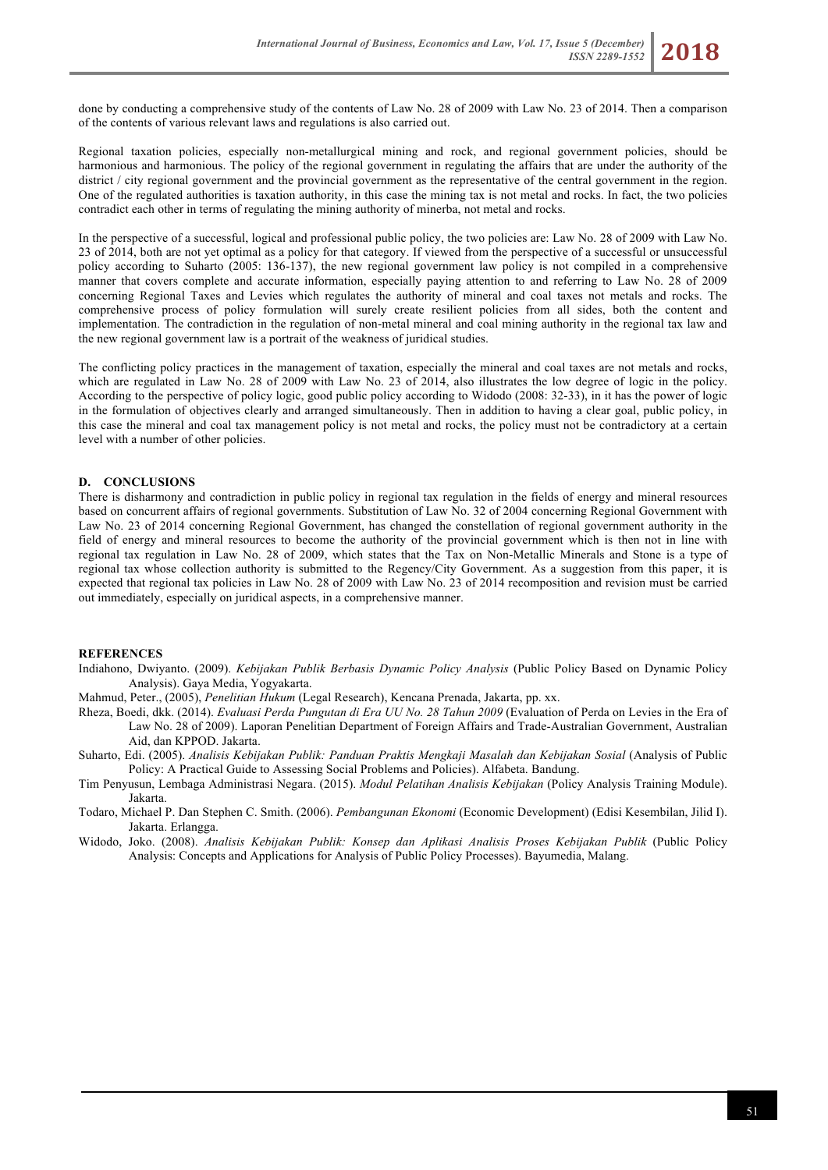done by conducting a comprehensive study of the contents of Law No. 28 of 2009 with Law No. 23 of 2014. Then a comparison of the contents of various relevant laws and regulations is also carried out.

Regional taxation policies, especially non-metallurgical mining and rock, and regional government policies, should be harmonious and harmonious. The policy of the regional government in regulating the affairs that are under the authority of the district / city regional government and the provincial government as the representative of the central government in the region. One of the regulated authorities is taxation authority, in this case the mining tax is not metal and rocks. In fact, the two policies contradict each other in terms of regulating the mining authority of minerba, not metal and rocks.

In the perspective of a successful, logical and professional public policy, the two policies are: Law No. 28 of 2009 with Law No. 23 of 2014, both are not yet optimal as a policy for that category. If viewed from the perspective of a successful or unsuccessful policy according to Suharto (2005: 136-137), the new regional government law policy is not compiled in a comprehensive manner that covers complete and accurate information, especially paying attention to and referring to Law No. 28 of 2009 concerning Regional Taxes and Levies which regulates the authority of mineral and coal taxes not metals and rocks. The comprehensive process of policy formulation will surely create resilient policies from all sides, both the content and implementation. The contradiction in the regulation of non-metal mineral and coal mining authority in the regional tax law and the new regional government law is a portrait of the weakness of juridical studies.

The conflicting policy practices in the management of taxation, especially the mineral and coal taxes are not metals and rocks, which are regulated in Law No. 28 of 2009 with Law No. 23 of 2014, also illustrates the low degree of logic in the policy. According to the perspective of policy logic, good public policy according to Widodo (2008: 32-33), in it has the power of logic in the formulation of objectives clearly and arranged simultaneously. Then in addition to having a clear goal, public policy, in this case the mineral and coal tax management policy is not metal and rocks, the policy must not be contradictory at a certain level with a number of other policies.

## **D. CONCLUSIONS**

There is disharmony and contradiction in public policy in regional tax regulation in the fields of energy and mineral resources based on concurrent affairs of regional governments. Substitution of Law No. 32 of 2004 concerning Regional Government with Law No. 23 of 2014 concerning Regional Government, has changed the constellation of regional government authority in the field of energy and mineral resources to become the authority of the provincial government which is then not in line with regional tax regulation in Law No. 28 of 2009, which states that the Tax on Non-Metallic Minerals and Stone is a type of regional tax whose collection authority is submitted to the Regency/City Government. As a suggestion from this paper, it is expected that regional tax policies in Law No. 28 of 2009 with Law No. 23 of 2014 recomposition and revision must be carried out immediately, especially on juridical aspects, in a comprehensive manner.

#### **REFERENCES**

- Indiahono, Dwiyanto. (2009). *Kebijakan Publik Berbasis Dynamic Policy Analysis* (Public Policy Based on Dynamic Policy Analysis). Gaya Media, Yogyakarta.
- Mahmud, Peter., (2005), *Penelitian Hukum* (Legal Research), Kencana Prenada, Jakarta, pp. xx.
- Rheza, Boedi, dkk. (2014). *Evaluasi Perda Pungutan di Era UU No. 28 Tahun 2009* (Evaluation of Perda on Levies in the Era of Law No. 28 of 2009). Laporan Penelitian Department of Foreign Affairs and Trade-Australian Government, Australian Aid, dan KPPOD. Jakarta.
- Suharto, Edi. (2005). *Analisis Kebijakan Publik: Panduan Praktis Mengkaji Masalah dan Kebijakan Sosial* (Analysis of Public Policy: A Practical Guide to Assessing Social Problems and Policies). Alfabeta. Bandung.
- Tim Penyusun, Lembaga Administrasi Negara. (2015). *Modul Pelatihan Analisis Kebijakan* (Policy Analysis Training Module). Jakarta.
- Todaro, Michael P. Dan Stephen C. Smith. (2006). *Pembangunan Ekonomi* (Economic Development) (Edisi Kesembilan, Jilid I). Jakarta. Erlangga.
- Widodo, Joko. (2008). *Analisis Kebijakan Publik: Konsep dan Aplikasi Analisis Proses Kebijakan Publik* (Public Policy Analysis: Concepts and Applications for Analysis of Public Policy Processes). Bayumedia, Malang.